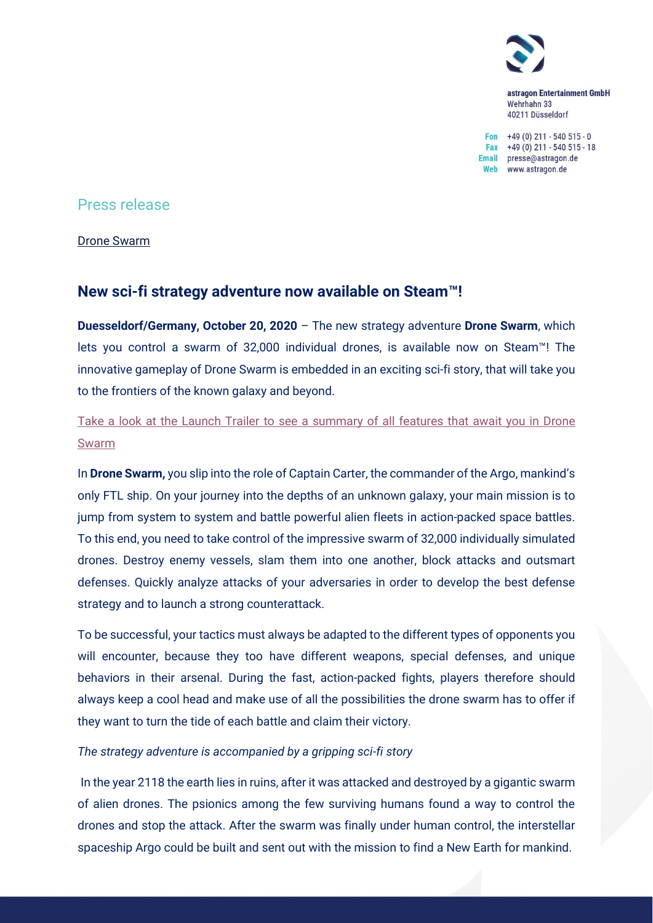

astragon Entertainment GmbH Wehrhahn 33 40211 Düsseldorf

Fon  $+49(0)$  211 - 540 515 - 0 Fax  $+49(0)$  211 - 540 515 - 18 Email presse@astragon.de Web www.astragon.de

## Press release

Drone Swarm

# **New sci-fi strategy adventure now available on Steam™!**

**Duesseldorf/Germany, October 20, 2020** – The new strategy adventure **Drone Swarm**, which lets you control a swarm of 32,000 individual drones, is available now on Steam™! The innovative gameplay of Drone Swarm is embedded in an exciting sci-fi story, that will take you to the frontiers of the known galaxy and beyond.

Take a look at the Launch Trailer to see a summary of [all features that await you in Drone](https://youtu.be/yHSX2S1NV-w)  [Swarm](https://youtu.be/yHSX2S1NV-w)

In **Drone Swarm,** you slip into the role of Captain Carter, the commander of the Argo, mankind's only FTL ship. On your journey into the depths of an unknown galaxy, your main mission is to jump from system to system and battle powerful alien fleets in action-packed space battles. To this end, you need to take control of the impressive swarm of 32,000 individually simulated drones. Destroy enemy vessels, slam them into one another, block attacks and outsmart defenses. Quickly analyze attacks of your adversaries in order to develop the best defense strategy and to launch a strong counterattack.

To be successful, your tactics must always be adapted to the different types of opponents you will encounter, because they too have different weapons, special defenses, and unique behaviors in their arsenal. During the fast, action-packed fights, players therefore should always keep a cool head and make use of all the possibilities the drone swarm has to offer if they want to turn the tide of each battle and claim their victory.

### *The strategy adventure is accompanied by a gripping sci-fi story*

In the year 2118 the earth lies in ruins, after it was attacked and destroyed by a gigantic swarm of alien drones. The psionics among the few surviving humans found a way to control the drones and stop the attack. After the swarm was finally under human control, the interstellar spaceship Argo could be built and sent out with the mission to find a New Earth for mankind.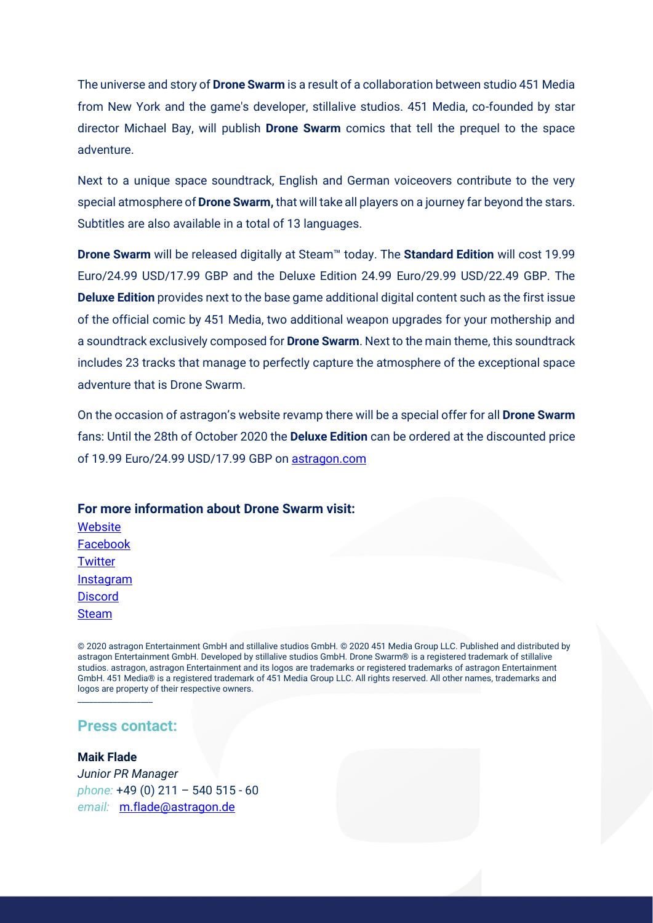The universe and story of **Drone Swarm** is a result of a collaboration between studio 451 Media from New York and the game's developer, stillalive studios. 451 Media, co-founded by star director Michael Bay, will publish **Drone Swarm** comics that tell the prequel to the space adventure.

Next to a unique space soundtrack, English and German voiceovers contribute to the very special atmosphere of **Drone Swarm,** that will take all players on a journey far beyond the stars. Subtitles are also available in a total of 13 languages.

**Drone Swarm** will be released digitally at Steam™ today. The **Standard Edition** will cost 19.99 Euro/24.99 USD/17.99 GBP and the Deluxe Edition 24.99 Euro/29.99 USD/22.49 GBP. The **Deluxe Edition** provides next to the base game additional digital content such as the first issue of the official comic by 451 Media, two additional weapon upgrades for your mothership and a soundtrack exclusively composed for **Drone Swarm**. Next to the main theme, this soundtrack includes 23 tracks that manage to perfectly capture the atmosphere of the exceptional space adventure that is Drone Swarm.

On the occasion of astragon's website revamp there will be a special offer for all **Drone Swarm** fans: Until the 28th of October 2020 the **Deluxe Edition** can be ordered at the discounted price of 19.99 Euro/24.99 USD/17.99 GBP on [astragon.com](https://www.astragon.com/drone-swarm/pc/deluxe-edition)

# **For more information about Drone Swarm visit:**

**[Website](https://www.droneswarmgame.com/)** [Facebook](https://www.facebook.com/DroneSwarmGame/) **[Twitter](https://twitter.com/DroneSwarmGame) [Instagram](https://www.instagram.com/DroneSwarmGame/) [Discord](https://discordapp.com/invite/mQJ3uWU) [Steam](https://store.steampowered.com/app/401760/Drone_Swarm/)** 

© 2020 astragon Entertainment GmbH and stillalive studios GmbH. © 2020 451 Media Group LLC. Published and distributed by astragon Entertainment GmbH. Developed by stillalive studios GmbH. Drone Swarm® is a registered trademark of stillalive studios. astragon, astragon Entertainment and its logos are trademarks or registered trademarks of astragon Entertainment GmbH. 451 Media® is a registered trademark of 451 Media Group LLC. All rights reserved. All other names, trademarks and logos are property of their respective owners.

## **Press contact:**

\_\_\_\_\_\_\_\_\_\_\_\_\_\_\_\_\_\_\_

### **Maik Flade**

*Junior PR Manager phone:* +49 (0) 211 – 540 515 - 60 *email:* [m.flade@astragon.de](mailto:m.flade@astragon.de)